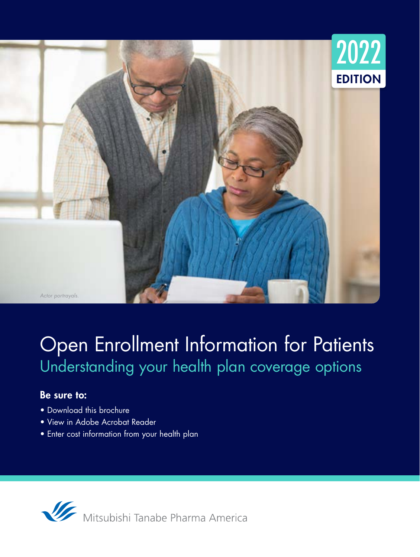

# Open Enrollment Information for Patients Understanding your health plan coverage options

## Be sure to:

- Download this brochure
- View in Adobe Acrobat Reader
- Enter cost information from your health plan

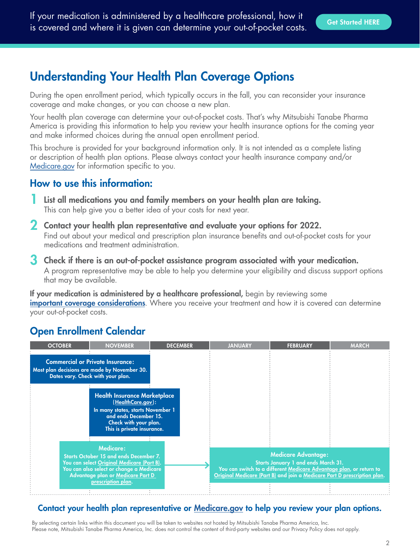# <span id="page-1-0"></span>Understanding Your Health Plan Coverage Options

During the open enrollment period, which typically occurs in the fall, you can reconsider your insurance coverage and make changes, or you can choose a new plan.

Your health plan coverage can determine your out-of-pocket costs. That's why Mitsubishi Tanabe Pharma America is providing this information to help you review your health insurance options for the coming year and make informed choices during the annual open enrollment period.

This brochure is provided for your background information only. It is not intended as a complete listing or description of health plan options. Please always contact your health insurance company and/or Medicare.gov for information specific to you.

## How to use this information:

- List all medications you and family members on your health plan are taking. This can help give you a better idea of your costs for next year.
- 2 Contact your health plan representative and evaluate your options for 2022. Find out about your medical and prescription plan insurance benefits and out-of-pocket costs for your medications and treatment administration.
- 3 Check if there is an out-of-pocket assistance program associated with your medication. A program representative may be able to help you determine your eligibility and discuss support options that may be available.

If your medication is administered by a healthcare professional, begin by reviewing some [important coverage considerations](#page-9-0). Where you receive your treatment and how it is covered can determine your out-of-pocket costs.

# Open Enrollment Calendar

| <b>OCTOBER</b>                                                                                                                                                                                                  | <b>NOVEMBER</b>                                                                                                                                                               | <b>DECEMBER</b>                                                                                                                                                                                                      | <b>JANUARY</b> | <b>FEBRUARY</b> | <b>MARCH</b> |
|-----------------------------------------------------------------------------------------------------------------------------------------------------------------------------------------------------------------|-------------------------------------------------------------------------------------------------------------------------------------------------------------------------------|----------------------------------------------------------------------------------------------------------------------------------------------------------------------------------------------------------------------|----------------|-----------------|--------------|
|                                                                                                                                                                                                                 | <b>Commercial or Private Insurance:</b><br>Most plan decisions are made by November 30.<br>Dates vary. Check with your plan.                                                  |                                                                                                                                                                                                                      |                |                 |              |
|                                                                                                                                                                                                                 | <b>Health Insurance Marketplace</b><br>(HealthCare.gov):<br>In many states, starts November 1<br>and ends December 15.<br>Check with your plan.<br>This is private insurance. |                                                                                                                                                                                                                      |                |                 |              |
| <b>Medicare:</b><br>Starts October 15 and ends December 7.<br>You can select Original Medicare (Part B).<br>You can also select or change a Medicare<br>Advantage plan or Medicare Part D<br>prescription plan. |                                                                                                                                                                               | <b>Medicare Advantage:</b><br>Starts January 1 and ends March 31.<br>You can switch to a different Medicare Advantage plan, or return to<br>Original Medicare (Part B) and join a Medicare Part D prescription plan. |                |                 |              |

## Contact your health plan representative or M[edicare.gov](https://www.medicare.gov/) to help you review your plan options.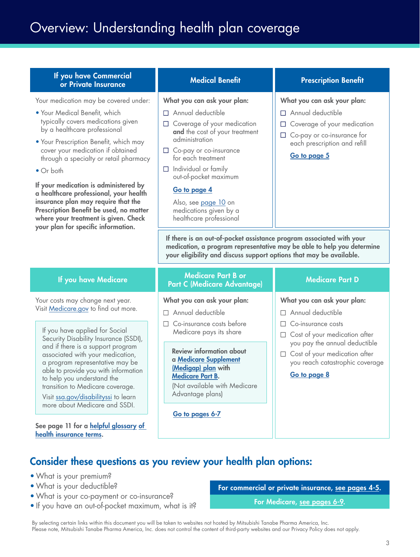# Overview: Understanding health plan coverage

### If you have Commercial you nave Commercial Medical Benefit Prescription Benefit<br>or Private Insurance

Your medication may be covered under:

- Your Medical Benefit, which typically covers medications given by a healthcare professional
- Your Prescription Benefit, which may cover your medication if obtained through a specialty or retail pharmacy
- Or both

If your medication is administered by a healthcare professional, your health insurance plan may require that the Prescription Benefit be used, no matter where your treatment is given. Check your plan for specific information.

#### What you can ask your plan:

- $\Box$  Annual deductible
- $\Box$  Coverage of your medication and the cost of your treatment administration
- $\Box$  Co-pay or co-insurance for each treatment
- $\Box$  Individual or family out-of-pocket maximum

### [Go to page 4](#page-3-0)

Also, see [page 10](#page-9-0) on medications given by a healthcare professional

#### What you can ask your plan:

- $\Box$  Annual deductible
- $\Box$  Coverage of your medication
- □ Co-pay or co-insurance for each prescription and refill

#### [Go to page 5](#page-4-0)

If there is an out-of-pocket assistance program associated with your medication, a program representative may be able to help you determine your eligibility and discuss support options that may be available.

Your costs may change next year. Visit M[edicare.gov](https://www.medicare.gov/) to find out more.

If you have applied for Social Security Disability Insurance (SSDI), and if there is a support program associated with your medication, a program representative may be able to provide you with information to help you understand the transition to Medicare coverage.

Visit [ssa.gov/disabilityssi](https://www.ssa.gov/benefits/disability/) to learn more about Medicare and SSDI.

See page 11 for a [helpful glossary](#page-10-0) of [health insurance terms](#page-10-0).

### If you have Medicare Medicare Part B or **Part C (Medicare Advantage)** Medicare Part D

#### What you can ask your plan:

- $\Box$  Annual deductible
- $\Box$  Co-insurance costs before Medicare pays its share

Review information about a [Medicare Supplement](https://www.medicare.gov/supplements-other-insurance/when-can-i-buy-medigap) [\(Medigap\) plan](https://www.medicare.gov/supplements-other-insurance/when-can-i-buy-medigap) with [Medicare Part B.](https://www.medicare.gov/sign-up-change-plans/how-do-i-get-parts-a-b)

(Not available with Medicare Advantage plans)

[Go to pages 6-7](#page-5-0)

#### What you can ask your plan:

- $\Box$  Annual deductible
- $\Box$  Co-insurance costs
- $\Box$  Cost of your medication after you pay the annual deductible
- $\Box$  Cost of your medication after you reach catastrophic coverage

[Go to page 8](#page-7-0)

# Consider these questions as you review your health plan options:

- What is your premium?
- What is your deductible?
- What is your co-payment or co-insurance?
- If you have an out-of-pocket maximum, what is it?

For commercial or private insurance, [see pages 4-5](#page-3-0).

For Medicare, [see pages 6-9](#page-5-0).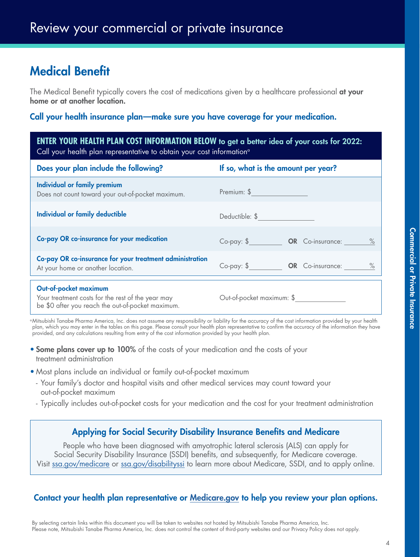# <span id="page-3-0"></span>Medical Benefit

The Medical Benefit typically covers the cost of medications given by a healthcare professional at your home or at another location.

### Call your health insurance plan—make sure you have coverage for your medication.

### **ENTER YOUR HEALTH PLAN COST INFORMATION BELOW** to get a better idea of your costs for 2022: Call your health plan representative to obtain your cost information<sup>a</sup>

| Does your plan include the following?                                                         | If so, what is the amount per year?                         |  |  |
|-----------------------------------------------------------------------------------------------|-------------------------------------------------------------|--|--|
| Individual or family premium<br>Does not count toward your out-of-pocket maximum.             | Premium: \$                                                 |  |  |
| <b>Individual or family deductible</b>                                                        | Deductible: \$                                              |  |  |
| Co-pay OR co-insurance for your medication                                                    | $Co$ -pay: $\$\$<br><b>OR</b> Co-insurance:<br>$\%$         |  |  |
| Co-pay OR co-insurance for your treatment administration<br>At your home or another location. | $Co$ -pay: $\frac{6}{3}$<br><b>OR</b> Co-insurance:<br>$\%$ |  |  |
| Out-of-pocket maximum<br>Your treatment costs for the rest of the year may                    | Out-of-pocket maximum: \$                                   |  |  |

be \$0 after you reach the out-of-pocket maximum.

aMitsubishi Tanabe Pharma America, Inc. does not assume any responsibility or liability for the accuracy of the cost information provided by your health plan, which you may enter in the tables on this page. Please consult your health plan representative to confirm the accuracy of the information they have provided, and any calculations resulting from entry of the cost information provided by your health plan.

- **Some plans cover up to 100%** of the costs of your medication and the costs of your treatment administration
- Most plans include an individual or family out-of-pocket maximum
	- Your family's doctor and hospital visits and other medical services may count toward your out-of-pocket maximum
	- Typically includes out-of-pocket costs for your medication and the cost for your treatment administration

## Applying for Social Security Disability Insurance Benefits and Medicare

People who have been diagnosed with amyotrophic lateral sclerosis (ALS) can apply for Social Security Disability Insurance (SSDI) benefits, and subsequently, for Medicare coverage. Visit [ssa.gov/medicare](https://www.ssa.gov/benefits/medicare/) or [ssa.gov/disabilityssi](https://www.ssa.gov/benefits/disability/) to learn more about Medicare, SSDI, and to apply online.

## Contact your health plan representative or M[edicare.gov](https://www.medicare.gov/) to help you review your plan options.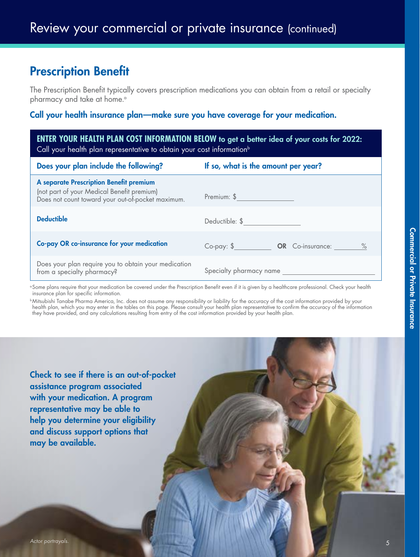# <span id="page-4-0"></span>Prescription Benefit

The Prescription Benefit typically covers prescription medications you can obtain from a retail or specialty pharmacy and take at home.<sup>a</sup>

## Call your health insurance plan—make sure you have coverage for your medication.

| <b>ENTER YOUR HEALTH PLAN COST INFORMATION BELOW</b> to get a better idea of your costs for 2022:<br>Call your health plan representative to obtain your cost information <sup>b</sup> |                                     |  |  |
|----------------------------------------------------------------------------------------------------------------------------------------------------------------------------------------|-------------------------------------|--|--|
| If so, what is the amount per year?<br>Does your plan include the following?                                                                                                           |                                     |  |  |
| A separate Prescription Benefit premium<br>(not part of your Medical Benefit premium)<br>Does not count toward your out-of-pocket maximum.                                             | Premium: \$                         |  |  |
| <b>Deductible</b>                                                                                                                                                                      | Deductible: \$                      |  |  |
| Co-pay OR co-insurance for your medication                                                                                                                                             | Co-pay: \$ OR Co-insurance:<br>$\%$ |  |  |
| Does your plan require you to obtain your medication<br>from a specialty pharmacy?                                                                                                     | Specialty pharmacy name             |  |  |

<sup>a</sup> Some plans require that your medication be covered under the Prescription Benefit even if it is given by a healthcare professional. Check your health insurance plan for specific information.

bMitsubishi Tanabe Pharma America, Inc. does not assume any responsibility or liability for the accuracy of the cost information provided by your health plan, which you may enter in the tables on this page. Please consult your health plan representative to confirm the accuracy of the information they have provided, and any calculations resulting from entry of the cost information provided by your health plan.

Check to see if there is an out-of-pocket assistance program associated with your medication. A program representative may be able to help you determine your eligibility and discuss support options that may be available.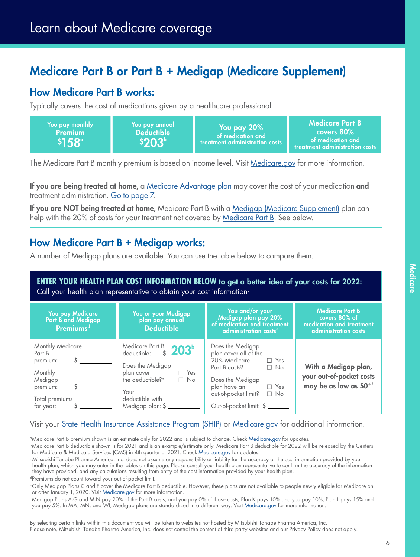# <span id="page-5-0"></span>Medicare Part B or Part B + Medigap (Medicare Supplement)

# How Medicare Part B works:

Typically covers the cost of medications given by a healthcare professional.

| You pay monthly<br><b>Premium</b><br>$$158^\circ$ | You pay annual<br><b>Deductible</b><br>\$203 | You pay 20%<br>of medication and<br>$\,$ treatment administration costs $^{\mathrm{+}}$ | Medicare Part B<br>covers $80\%$<br>of medication and<br>treatment administration costs |
|---------------------------------------------------|----------------------------------------------|-----------------------------------------------------------------------------------------|-----------------------------------------------------------------------------------------|
|---------------------------------------------------|----------------------------------------------|-----------------------------------------------------------------------------------------|-----------------------------------------------------------------------------------------|

The Medicare Part B monthly premium is based on income level. Visit [Medicare.gov](https://www.medicare.gov/your-medicare-costs/part-b-costs) for more information.

If you are being treated at home, a [Medicare Advantage plan](#page-6-0) may cover the cost of your medication and treatment administration. [Go to page 7.](#page-6-0)

If you are NOT being treated at home, Medicare Part B with a [Medigap \(Medicare Supplement\)](https://www.medicare.gov/supplements-other-insurance/how-to-compare-medigap-policies) plan can help with the 20% of costs for your treatment not covered by [Medicare Part B](https://www.medicare.gov/sign-up-change-plans/how-do-i-get-parts-a-b). See below.

# How Medicare Part B + Medigap works:

A number of Medigap plans are available. You can use the table below to compare them.

**ENTER YOUR HEALTH PLAN COST INFORMATION BELOW** to get a better idea of your costs for 2022: Call your health plan representative to obtain your cost information<sup>c</sup>

| You pay Medicare<br>Part B and Medigap<br><b>Premiumsd</b>                                              | You or your Medigap<br>plan pay annual<br><b>Deductible</b>                                                                                                                               | You and/or your<br>Medigap plan pay 20%<br>of medication and treatment<br>administration costs <sup>f</sup>                                                                                                             | <b>Medicare Part B</b><br>covers 80% of<br>medication and treatment<br>administration costs |
|---------------------------------------------------------------------------------------------------------|-------------------------------------------------------------------------------------------------------------------------------------------------------------------------------------------|-------------------------------------------------------------------------------------------------------------------------------------------------------------------------------------------------------------------------|---------------------------------------------------------------------------------------------|
| Monthly Medicare<br>Part B<br>premium:<br>Monthly<br>Medigap<br>premium:<br>Total premiums<br>for year: | Medicare Part B <sub>3</sub> 203 <sup>b</sup><br>Does the Medigap<br>$\Box$ Yes<br>plan cover<br>the deductible? <sup>e</sup><br>$\Box$ No<br>Your<br>deductible with<br>Medigap plan: \$ | Does the Medigap<br>plan cover all of the<br>20% Medicare<br>$\Box$ Yes<br>Part B costs?<br>$\Box$ No<br>Does the Medigap<br>plan have an<br>$\Box$ Yes<br>out-of-pocket limit?<br>$\Box$ No<br>Out-of-pocket limit: \$ | With a Medigap plan,<br>your out-of-pocket costs<br>may be as low as \$0 <sup>e,f</sup>     |

Visit your [State Health Insurance Assistance Program \(SHIP\)](https://www.shiptacenter.org/) or [Medicare.gov](https://www.medicare.gov/supplements-other-insurance/how-to-compare-medigap-policies) for additional information.

<sup>a</sup>Medicare Part B premium shown is an estimate only for 2022 and is subject to change. Check [Medicare.gov](https://www.medicare.gov/) for updates.

**bMedicare Part B deductible shown is for 2021 and is an example/estimate only. Medicare Part B deductible for 2022 will be released by the Centers** for Medicare & Medicaid Services (CMS) in 4th quarter of 2021. Check [Medicare.gov](https://www.medicare.gov/) for updates.

<sup>c</sup> Mitsubishi Tanabe Pharma America, Inc. does not assume any responsibility or liability for the accuracy of the cost information provided by your health plan, which you may enter in the tables on this page. Please consult your health plan representative to confirm the accuracy of the information they have provided, and any calculations resulting from entry of the cost information provided by your health plan.

dPremiums do not count toward your out-of-pocket limit.

eOnly Medigap Plans C and F cover the Medicare Part B deductible. However, these plans are not available to people newly eligible for Medicare on or after January 1, 2020. Visit [Medicare.gov](https://www.medicare.gov/supplements-other-insurance/how-to-compare-medigap-policies) for more information.

<sup>f</sup> Medigap Plans A-G and M-N pay 20% of the Part B costs, and you pay 0% of those costs; Plan K pays 10% and you pay 10%; Plan L pays 15% and you pay 5%. In MA, MN, and WI, Medigap plans are standardized in a different way. Visit [Medicare.gov](https://www.medicare.gov/supplements-other-insurance/how-to-compare-medigap-policies) for more information.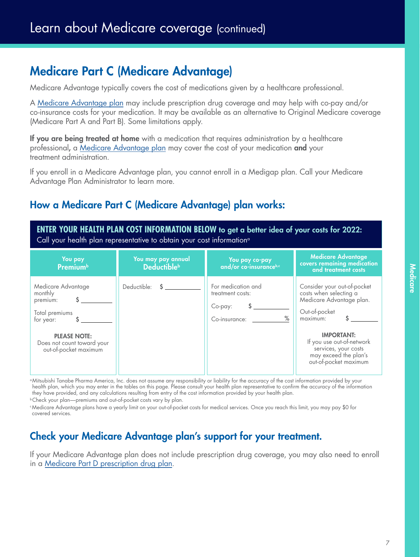# <span id="page-6-0"></span>Medicare Part C (Medicare Advantage)

Medicare Advantage typically covers the cost of medications given by a healthcare professional.

A [Medicare Advantage plan](https://www.medicare.gov/sign-up-change-plans/types-of-medicare-health-plans/medicare-advantage-plans) may include prescription drug coverage and may help with co-pay and/or co-insurance costs for your medication. It may be available as an alternative to Original Medicare coverage (Medicare Part A and Part B). Some limitations apply.

If you are being treated at home with a medication that requires administration by a healthcare professional, a [Medicare Advantage plan](https://www.medicare.gov/sign-up-change-plans/types-of-medicare-health-plans/medicare-advantage-plans) may cover the cost of your medication and your treatment administration.

If you enroll in a Medicare Advantage plan, you cannot enroll in a Medigap plan. Call your Medicare Advantage Plan Administrator to learn more.

# How a Medicare Part C (Medicare Advantage) plan works:

**ENTER YOUR HEALTH PLAN COST INFORMATION BELOW** to get a better idea of your costs for 2022: Call your health plan representative to obtain your cost information<sup>a</sup>

| You pay<br><b>Premium</b> <sup>b</sup>                                                                                                                 | You may pay annual<br><b>Deductible</b> <sup>b</sup> | You pay co-pay<br>and/or co-insuranceb,c                                   | <b>Medicare Advantage</b><br>covers remaining medication<br>and treatment costs                                                                                                                                                            |
|--------------------------------------------------------------------------------------------------------------------------------------------------------|------------------------------------------------------|----------------------------------------------------------------------------|--------------------------------------------------------------------------------------------------------------------------------------------------------------------------------------------------------------------------------------------|
| Medicare Advantage<br>monthly<br>premium:<br>Total premiums<br>for year:<br><b>PLEASE NOTE:</b><br>Does not count toward your<br>out-of-pocket maximum | Deductible:<br><sup>S</sup>                          | For medication and<br>treatment costs:<br>Co-pay:<br>$\%$<br>Co-insurance: | Consider your out-of-pocket<br>costs when selecting a<br>Medicare Advantage plan.<br>Out-of-pocket<br>maximum:<br><b>IMPORTANT:</b><br>If you use out-of-network<br>services, your costs<br>may exceed the plan's<br>out-of-pocket maximum |

aMitsubishi Tanabe Pharma America, Inc. does not assume any responsibility or liability for the accuracy of the cost information provided by your health plan, which you may enter in the tables on this page. Please consult your health plan representative to confirm the accuracy of the information they have provided, and any calculations resulting from entry of the cost information provided by your health plan.

**bCheck your plan—premiums and out-of-pocket costs vary by plan.** 

cMedicare Advantage plans have a yearly limit on your out-of-pocket costs for medical services. Once you reach this limit, you may pay \$0 for covered services.

# Check your Medicare Advantage plan's support for your treatment.

If your Medicare Advantage plan does not include prescription drug coverage, you may also need to enroll in a [Medicare Part D prescription drug plan](https://www.medicare.gov/drug-coverage-part-d).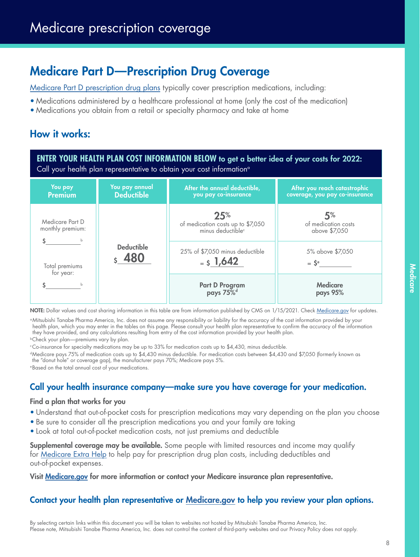# <span id="page-7-0"></span>Medicare Part D—Prescription Drug Coverage

[Medicare Part D prescription drug plans](https://www.medicare.gov/drug-coverage-part-d) typically cover prescription medications, including:

- Medications administered by a healthcare professional at home (only the cost of the medication)
- Medications you obtain from a retail or specialty pharmacy and take at home

# How it works:

**ENTER YOUR HEALTH PLAN COST INFORMATION BELOW** to get a better idea of your costs for 2022: Call your health plan representative to obtain your cost information<sup>a</sup>

| You pay<br><b>Premium</b>           | You pay annual<br><b>Deductible</b>    | After the annual deductible,<br>you pay co-insurance                      | After you reach catastrophic<br>coverage, you pay co-insurance |                                              |
|-------------------------------------|----------------------------------------|---------------------------------------------------------------------------|----------------------------------------------------------------|----------------------------------------------|
| Medicare Part D<br>monthly premium: |                                        | 25%<br>of medication costs up to \$7,050<br>minus deductible <sup>c</sup> | 5%<br>of medication costs<br>above \$7,050                     |                                              |
| Total premiums<br>for year:         | <b>Deductible</b><br>$\frac{1}{5}$ 480 | 25% of \$7,050 minus deductible<br>$=$ \$ 1,642                           |                                                                | 5% above \$7,050<br>$=$ $\zeta$ <sup>e</sup> |
|                                     |                                        | <b>Part D Program</b><br>pays 75% <sup>d</sup>                            | <b>Medicare</b><br>pays 95%                                    |                                              |

NOTE: Dollar values and cost sharing information in this table are from information published by CMS on 1/15/2021. Check [Medicare.gov](https://www.medicare.gov/) for updates.

aMitsubishi Tanabe Pharma America, Inc. does not assume any responsibility or liability for the accuracy of the cost information provided by your health plan, which you may enter in the tables on this page. Please consult your health plan representative to confirm the accuracy of the information they have provided, and any calculations resulting from entry of the cost information provided by your health plan. **bCheck your plan—premiums vary by plan.** 

cCo-insurance for specialty medications may be up to 33% for medication costs up to \$4,430, minus deductible.

dMedicare pays 75% of medication costs up to \$4,430 minus deductible. For medication costs between \$4,430 and \$7,050 (formerly known as the "donut hole" or coverage gap), the manufacturer pays 70%; Medicare pays 5%.

eBased on the total annual cost of your medications.

## Call your health insurance company—make sure you have coverage for your medication.

### Find a plan that works for you

- Understand that out-of-pocket costs for prescription medications may vary depending on the plan you choose
- Be sure to consider all the prescription medications you and your family are taking
- Look at total out-of-pocket medication costs, not just premiums and deductible

**Supplemental coverage may be available.** Some people with limited resources and income may qualify for [Medicare Extra Help](https://www.ssa.gov/benefits/medicare/prescriptionhelp/) to help pay for prescription drug plan costs, including deductibles and out-of-pocket expenses.

Visit [Medicare.gov](https://www.medicare.gov/your-medicare-costs/get-help-paying-costs/lower-prescription-costs#) for more information or contact your Medicare insurance plan representative.

## Contact your health plan representative or M[edicare.gov](https://www.medicare.gov/) to help you review your plan options.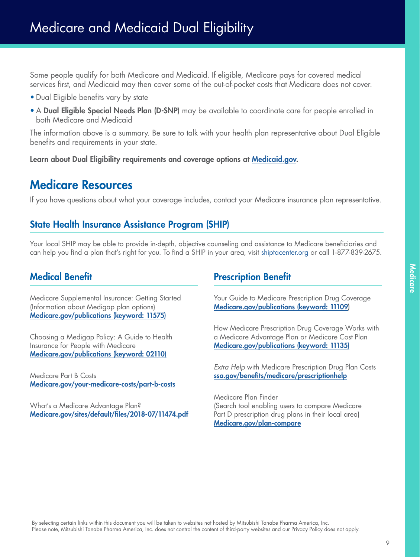<span id="page-8-0"></span>Some people qualify for both Medicare and Medicaid. If eligible, Medicare pays for covered medical services first, and Medicaid may then cover some of the out-of-pocket costs that Medicare does not cover.

- Dual Eligible benefits vary by state
- A Dual Eligible Special Needs Plan (D-SNP) may be available to coordinate care for people enrolled in both Medicare and Medicaid

The information above is a summary. Be sure to talk with your health plan representative about Dual Eligible benefits and requirements in your state.

Learn about Dual Eligibility requirements and coverage options at [Medicaid.gov.](https://www.medicaid.gov/medicaid/eligibility/seniors-medicare-and-medicaid-enrollees/index.html)

# Medicare Resources

If you have questions about what your coverage includes, contact your Medicare insurance plan representative.

# State Health Insurance Assistance Program (SHIP)

Your local SHIP may be able to provide in-depth, objective counseling and assistance to Medicare beneficiaries and can help you find a plan that's right for you. To find a SHIP in your area, visit [shiptacenter.org](https://www.shiptacenter.org/) or call 1-877-839-2675.

# Medical Benefit

Medicare Supplemental Insurance: Getting Started (Information about Medigap plan options) M[edicare.gov/publications \(keyword: 11575\)](https://www.medicare.gov/Pubs/pdf/11575-Medigap-Getting-Started.pdf)

Choosing a Medigap Policy: A Guide to Health Insurance for People with Medicare M[edicare.gov/publications \(keyword: 02110\)](https://www.medicare.gov/Pubs/pdf/02110-Medicare-Medigap-guide.pdf)

Medicare Part B Costs M[edicare.gov/your-medicare-costs/part-b-costs](https://www.medicare.gov/your-medicare-costs/part-b-costs)

What's a Medicare Advantage Plan? M[edicare.gov/sites/default/files/2018-07/11474.pdf](https://www.medicare.gov/sites/default/files/2018-07/11474.pdf)

## Prescription Benefit

Your Guide to Medicare Prescription Drug Coverage M[edicare.gov/publications \(keyword: 11109](https://www.medicare.gov/Pubs/pdf/11109-Your-Guide-to-Medicare-Prescrip-Drug-Cov.pdf))

How Medicare Prescription Drug Coverage Works with a Medicare Advantage Plan or Medicare Cost Plan M[edicare.gov/publications \(keyword: 11135\)](https://www.medicare.gov/Pubs/pdf/11135-Prescription-Drug-Coverage-with-MA-MCP.pdf)

*Extra Help* with Medicare Prescription Drug Plan Costs [ssa.gov/benefits/medicare/prescriptionhelp](https://www.ssa.gov/benefits/medicare/prescriptionhelp/)

Medicare Plan Finder (Search tool enabling users to compare Medicare Part D prescription drug plans in their local area) M[edicare.gov/plan-compare](https://www.medicare.gov/plan-compare)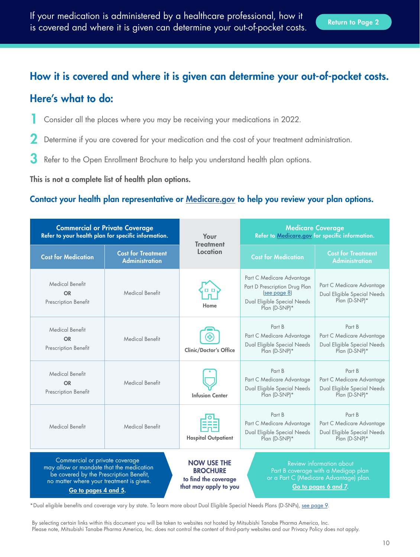# <span id="page-9-0"></span>How it is covered and where it is given can determine your out-of-pocket costs.

# Here's what to do:

- 1 Consider all the places where you may be receiving your medications in 2022.
- Determine if you are covered for your medication and the cost of your treatment administration.
- 3 Refer to the Open Enrollment Brochure to help you understand health plan options.

This is not a complete list of health plan options.

## Contact your health plan representative or M[edicare.gov](https://www.medicare.gov/) to help you review your plan options.

| <b>Commercial or Private Coverage</b><br>Refer to your health plan for specific information.                                                                                              |                                                    | Your<br><b>Treatment</b>                                                               | <b>Medicare Coverage</b><br>Refer to Medicare.gov for specific information.                                                              |                                                                                     |
|-------------------------------------------------------------------------------------------------------------------------------------------------------------------------------------------|----------------------------------------------------|----------------------------------------------------------------------------------------|------------------------------------------------------------------------------------------------------------------------------------------|-------------------------------------------------------------------------------------|
| <b>Cost for Medication</b>                                                                                                                                                                | <b>Cost for Treatment</b><br><b>Administration</b> | Location                                                                               | <b>Cost for Medication</b>                                                                                                               | <b>Cost for Treatment</b><br><b>Administration</b>                                  |
| <b>Medical Benefit</b><br><b>OR</b><br>Prescription Benefit                                                                                                                               | <b>Medical Benefit</b>                             | . .<br>Home                                                                            | Part C Medicare Advantage<br>Part D Prescription Drug Plan<br>(see page 8)<br>Dual Eligible Special Needs<br>Plan (D-SNP)*               | Part C Medicare Advantage<br>Dual Eligible Special Needs<br>Plan (D-SNP)*           |
| <b>Medical Benefit</b><br><b>OR</b><br><b>Prescription Benefit</b>                                                                                                                        | <b>Medical Benefit</b>                             | <b>Clinic/Doctor's Office</b>                                                          | Part B<br>Part C Medicare Advantage<br>Dual Eligible Special Needs<br>Plan (D-SNP)*                                                      | Part B<br>Part C Medicare Advantage<br>Dual Eligible Special Needs<br>Plan (D-SNP)* |
| <b>Medical Benefit</b><br><b>OR</b><br>Prescription Benefit                                                                                                                               | <b>Medical Benefit</b>                             | <b>Infusion Center</b>                                                                 | Part B<br>Part C Medicare Advantage<br>Dual Eligible Special Needs<br>Plan (D-SNP)*                                                      | Part B<br>Part C Medicare Advantage<br>Dual Eligible Special Needs<br>Plan (D-SNP)* |
| <b>Medical Benefit</b>                                                                                                                                                                    | <b>Medical Benefit</b>                             | <b>Hospital Outpatient</b>                                                             | Part B<br>Part C Medicare Advantage<br>Dual Eligible Special Needs<br>Plan (D-SNP)*                                                      | Part B<br>Part C Medicare Advantage<br>Dual Eligible Special Needs<br>Plan (D-SNP)* |
| Commercial or private coverage<br>may allow or mandate that the medication<br>be covered by the Prescription Benefit,<br>no matter where your treatment is given.<br>Go to pages 4 and 5. |                                                    | <b>NOW USE THE</b><br><b>BROCHURE</b><br>to find the coverage<br>that may apply to you | <b>Review information about</b><br>Part B coverage with a Medigap plan<br>or a Part C (Medicare Advantage) plan.<br>Go to pages 6 and 7. |                                                                                     |

\*Dual eligible benefits and coverage vary by state. To learn more about Dual Eligible Special Needs Plans (D-SNPs), [see page 9.](#page-8-0)